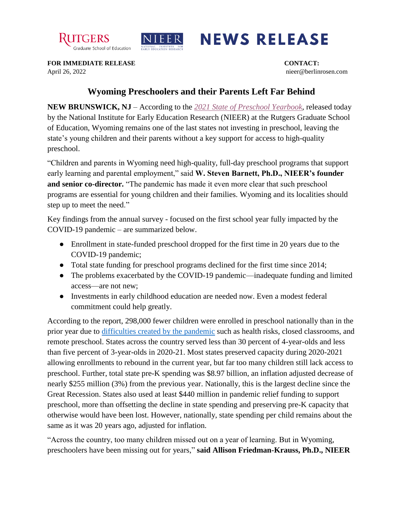



## **NEWS RELEASE**

**FOR IMMEDIATE RELEASE CONTACT:** April 26, 2022 nieer@berlinrosen.com

## **Wyoming Preschoolers and their Parents Left Far Behind**

**NEW BRUNSWICK, NJ** – According to the *[2021 State of Preschool Yearbook,](https://nieer.org/state-preschool-yearbooks-yearbook2021)* released today by the National Institute for Early Education Research (NIEER) at the Rutgers Graduate School of Education, Wyoming remains one of the last states not investing in preschool, leaving the state's young children and their parents without a key support for access to high-quality preschool.

"Children and parents in Wyoming need high-quality, full-day preschool programs that support early learning and parental employment," said **W. Steven Barnett, Ph.D., NIEER's founder and senior co-director.** "The pandemic has made it even more clear that such preschool programs are essential for young children and their families. Wyoming and its localities should step up to meet the need."

Key findings from the annual survey - focused on the first school year fully impacted by the COVID-19 pandemic – are summarized below.

- Enrollment in state-funded preschool dropped for the first time in 20 years due to the COVID-19 pandemic;
- Total state funding for preschool programs declined for the first time since 2014;
- The problems exacerbated by the COVID-19 pandemic—inadequate funding and limited access—are not new;
- Investments in early childhood education are needed now. Even a modest federal commitment could help greatly.

According to the report, 298,000 fewer children were enrolled in preschool nationally than in the prior year due to [difficulties created by the pandemic](https://nieer.org/wp-content/uploads/2021/02/NIEER_Seven_Impacts_of_the_Pandemic_on_Young_Children_and_their_Parents.pdf) such as health risks, closed classrooms, and remote preschool. States across the country served less than 30 percent of 4-year-olds and less than five percent of 3-year-olds in 2020-21. Most states preserved capacity during 2020-2021 allowing enrollments to rebound in the current year, but far too many children still lack access to preschool. Further, total state pre-K spending was \$8.97 billion, an inflation adjusted decrease of nearly \$255 million (3%) from the previous year. Nationally, this is the largest decline since the Great Recession. States also used at least \$440 million in pandemic relief funding to support preschool, more than offsetting the decline in state spending and preserving pre-K capacity that otherwise would have been lost. However, nationally, state spending per child remains about the same as it was 20 years ago, adjusted for inflation.

"Across the country, too many children missed out on a year of learning. But in Wyoming, preschoolers have been missing out for years," **said Allison Friedman-Krauss, Ph.D., NIEER**